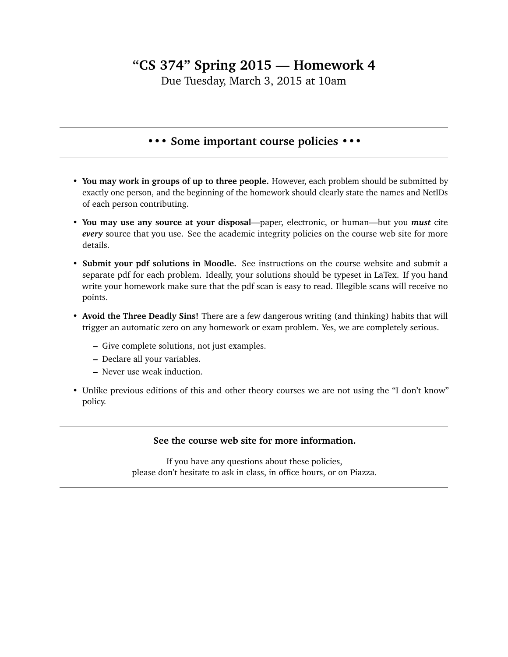## **"CS 374" Spring 2015 — Homework 4**

Due Tuesday, March 3, 2015 at 10am

## **••• Some important course policies •••**

- **You may work in groups of up to three people.** However, each problem should be submitted by exactly one person, and the beginning of the homework should clearly state the names and NetIDs of each person contributing.
- **You may use any source at your disposal**—paper, electronic, or human—but you *must* cite *every* source that you use. See the academic integrity policies on the course web site for more details.
- **Submit your pdf solutions in Moodle.** See instructions on the course website and submit a separate pdf for each problem. Ideally, your solutions should be typeset in LaTex. If you hand write your homework make sure that the pdf scan is easy to read. Illegible scans will receive no points.
- **Avoid the Three Deadly Sins!** There are a few dangerous writing (and thinking) habits that will trigger an automatic zero on any homework or exam problem. Yes, we are completely serious.
	- **–** Give complete solutions, not just examples.
	- **–** Declare all your variables.
	- **–** Never use weak induction.
- Unlike previous editions of this and other theory courses we are not using the "I don't know" policy.

## **See the course web site for more information.**

If you have any questions about these policies, please don't hesitate to ask in class, in office hours, or on Piazza.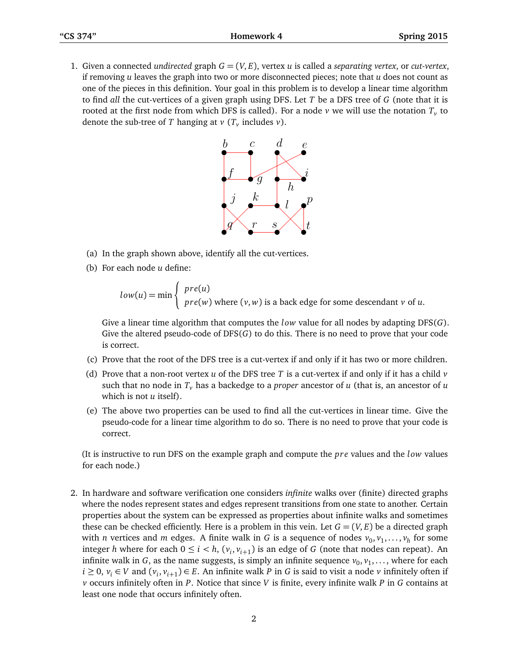1. Given a connected *undirected* graph  $G = (V, E)$ , vertex *u* is called a *separating vertex*, or *cut-vertex*, if removing *u* leaves the graph into two or more disconnected pieces; note that *u* does not count as one of the pieces in this definition. Your goal in this problem is to develop a linear time algorithm to find *all* the cut-vertices of a given graph using DFS. Let *T* be a DFS tree of *G* (note that it is rooted at the first node from which DFS is called). For a node  $\nu$  we will use the notation  $T_{\nu}$  to denote the sub-tree of  $T$  hanging at  $\nu$  ( $T_{\nu}$  includes  $\nu$ ).



- (a) In the graph shown above, identify all the cut-vertices.
- (b) For each node *u* define:

$$
low(u) = min \begin{cases} pre(u) \\ pre(w) \text{ where } (v, w) \text{ is a back edge for some descendant } v \text{ of } u. \end{cases}
$$

Give a linear time algorithm that computes the *low* value for all nodes by adapting DFS(*G*). Give the altered pseudo-code of DFS(*G*) to do this. There is no need to prove that your code is correct.

- (c) Prove that the root of the DFS tree is a cut-vertex if and only if it has two or more children.
- (d) Prove that a non-root vertex *u* of the DFS tree *T* is a cut-vertex if and only if it has a child *v* such that no node in *T<sup>v</sup>* has a backedge to a *proper* ancestor of *u* (that is, an ancestor of *u* which is not *u* itself).
- (e) The above two properties can be used to find all the cut-vertices in linear time. Give the pseudo-code for a linear time algorithm to do so. There is no need to prove that your code is correct.

(It is instructive to run DFS on the example graph and compute the *pre* values and the *low* values for each node.)

2. In hardware and software verification one considers *infinite* walks over (finite) directed graphs where the nodes represent states and edges represent transitions from one state to another. Certain properties about the system can be expressed as properties about infinite walks and sometimes these can be checked efficiently. Here is a problem in this vein. Let  $G = (V, E)$  be a directed graph with *n* vertices and *m* edges. A finite walk in *G* is a sequence of nodes  $v_0, v_1, \ldots, v_h$  for some integer *h* where for each  $0 \le i \le h$ ,  $(v_i, v_{i+1})$  is an edge of *G* (note that nodes can repeat). An infinite walk in *G*, as the name suggests, is simply an infinite sequence  $v_0, v_1, \ldots$ , where for each *i* ≥ 0,  $v_i$  ∈ *V* and  $(v_i, v_{i+1})$  ∈ *E*. An infinite walk *P* in *G* is said to visit a node *v* infinitely often if *v* occurs infinitely often in *P*. Notice that since *V* is finite, every infinite walk *P* in *G* contains at least one node that occurs infinitely often.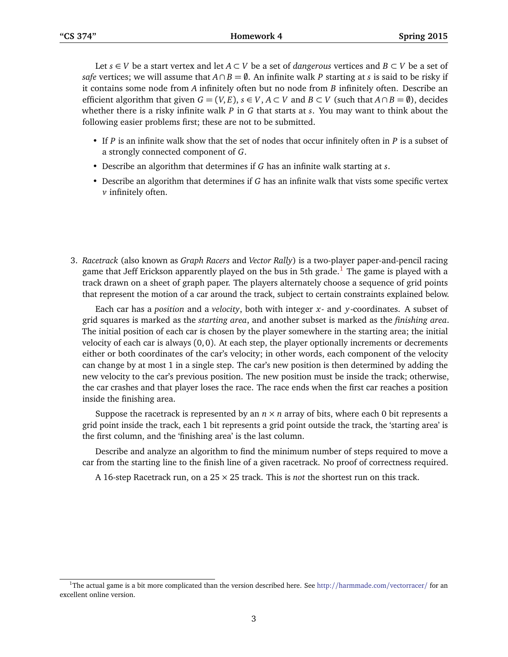Let *s* ∈ *V* be a start vertex and let *A* ⊂ *V* be a set of *dangerous* vertices and *B* ⊂ *V* be a set of *safe* vertices; we will assume that  $A \cap B = \emptyset$ . An infinite walk *P* starting at *s* is said to be risky if it contains some node from *A* infinitely often but no node from *B* infinitely often. Describe an efficient algorithm that given  $G = (V, E)$ ,  $s \in V$ ,  $A \subset V$  and  $B \subset V$  (such that  $A \cap B = \emptyset$ ), decides whether there is a risky infinite walk *P* in *G* that starts at *s*. You may want to think about the following easier problems first; these are not to be submitted.

- If *P* is an infinite walk show that the set of nodes that occur infinitely often in *P* is a subset of a strongly connected component of *G*.
- Describe an algorithm that determines if *G* has an infinite walk starting at *s*.
- Describe an algorithm that determines if *G* has an infinite walk that vists some specific vertex *v* infinitely often.
- 3. *Racetrack* (also known as *Graph Racers* and *Vector Rally*) is a two-player paper-and-pencil racing game that Jeff Erickson apparently played on the bus in 5th grade.<sup>[1](#page-2-0)</sup> The game is played with a track drawn on a sheet of graph paper. The players alternately choose a sequence of grid points that represent the motion of a car around the track, subject to certain constraints explained below.

Each car has a *position* and a *velocity*, both with integer *x*- and *y*-coordinates. A subset of grid squares is marked as the *starting area*, and another subset is marked as the *finishing area*. The initial position of each car is chosen by the player somewhere in the starting area; the initial velocity of each car is always  $(0, 0)$ . At each step, the player optionally increments or decrements either or both coordinates of the car's velocity; in other words, each component of the velocity can change by at most 1 in a single step. The car's new position is then determined by adding the new velocity to the car's previous position. The new position must be inside the track; otherwise, the car crashes and that player loses the race. The race ends when the first car reaches a position inside the finishing area.

Suppose the racetrack is represented by an  $n \times n$  array of bits, where each 0 bit represents a grid point inside the track, each 1 bit represents a grid point outside the track, the 'starting area' is the first column, and the 'finishing area' is the last column.

Describe and analyze an algorithm to find the minimum number of steps required to move a car from the starting line to the finish line of a given racetrack. No proof of correctness required.

A 16-step Racetrack run, on a 25 × 25 track. This is *not* the shortest run on this track.

<span id="page-2-0"></span><sup>&</sup>lt;sup>1</sup>The actual game is a bit more complicated than the version described here. See http://[harmmade.com](http://harmmade.com/vectorracer/)/vectorracer/ for an excellent online version.